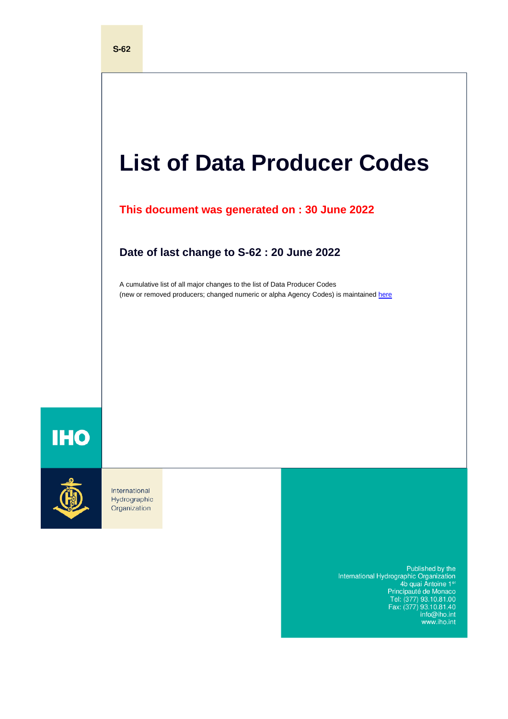# **List of Data Producer Codes**

**This document was generated on : 30 June 2022**

**Date of last change to S-62 : 20 June 2022**

A cumulative list of all major changes to the list of Data Producer Codes (new or removed producers; changed numeric or alpha Agency Codes) is maintained [here](https://iho.int/uploads/user/pubs/standards/s-62/S-62_Cumulative_List_of_Changes.pdf)

## **IHO**



International Hydrographic Organization

> Published by the<br>International Hydrographic Organization<br>4b quai Antoine 1er<br>Principauté de Monaco<br>Tel: (377) 93.10.81.00<br>Fax: (377) 93.10.81.40 info@iho.int<br>www.iho.int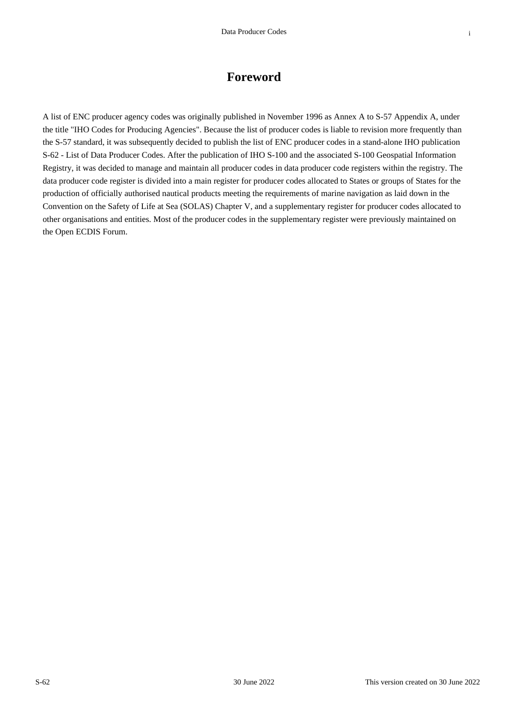#### **Foreword**

A list of ENC producer agency codes was originally published in November 1996 as Annex A to S-57 Appendix A, under the title "IHO Codes for Producing Agencies". Because the list of producer codes is liable to revision more frequently than the S-57 standard, it was subsequently decided to publish the list of ENC producer codes in a stand-alone IHO publication S-62 - List of Data Producer Codes. After the publication of IHO S-100 and the associated S-100 Geospatial Information Registry, it was decided to manage and maintain all producer codes in data producer code registers within the registry. The data producer code register is divided into a main register for producer codes allocated to States or groups of States for the production of officially authorised nautical products meeting the requirements of marine navigation as laid down in the Convention on the Safety of Life at Sea (SOLAS) Chapter V, and a supplementary register for producer codes allocated to other organisations and entities. Most of the producer codes in the supplementary register were previously maintained on the Open ECDIS Forum.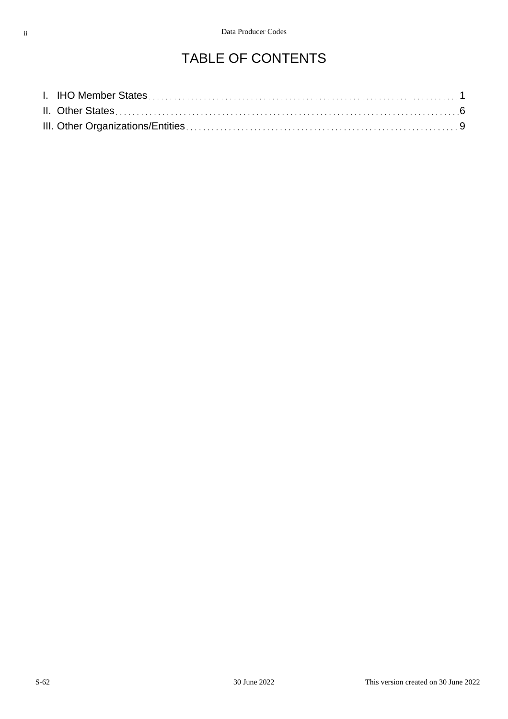#### TABLE OF CONTENTS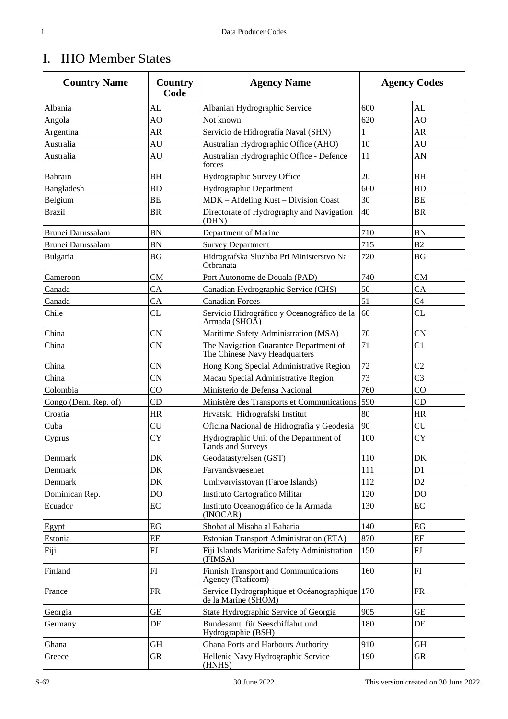#### I. IHO Member States

| <b>Country Name</b>  | Country<br>Code | <b>Agency Name</b>                                                      |     | <b>Agency Codes</b> |
|----------------------|-----------------|-------------------------------------------------------------------------|-----|---------------------|
| Albania              | AL              | Albanian Hydrographic Service                                           | 600 | AL                  |
| Angola               | AO              | Not known                                                               | 620 | AO                  |
| Argentina            | <b>AR</b>       | Servicio de Hidrografía Naval (SHN)                                     | 1   | AR                  |
| Australia            | AU              | Australian Hydrographic Office (AHO)                                    | 10  | AU                  |
| Australia            | AU              | Australian Hydrographic Office - Defence<br>forces                      | 11  | AN                  |
| Bahrain              | <b>BH</b>       | Hydrographic Survey Office                                              | 20  | <b>BH</b>           |
| Bangladesh           | <b>BD</b>       | Hydrographic Department                                                 | 660 | <b>BD</b>           |
| Belgium              | <b>BE</b>       | MDK - Afdeling Kust - Division Coast                                    | 30  | BE                  |
| <b>Brazil</b>        | <b>BR</b>       | Directorate of Hydrography and Navigation<br>(DHN)                      | 40  | <b>BR</b>           |
| Brunei Darussalam    | <b>BN</b>       | Department of Marine                                                    | 710 | <b>BN</b>           |
| Brunei Darussalam    | <b>BN</b>       | <b>Survey Department</b>                                                | 715 | B2                  |
| Bulgaria             | <b>BG</b>       | Hidrografska Sluzhba Pri Ministerstvo Na<br>Otbranata                   | 720 | BG                  |
| Cameroon             | <b>CM</b>       | Port Autonome de Douala (PAD)                                           | 740 | <b>CM</b>           |
| Canada               | CA              | Canadian Hydrographic Service (CHS)                                     | 50  | CA                  |
| Canada               | CA              | <b>Canadian Forces</b>                                                  | 51  | C <sub>4</sub>      |
| Chile                | <b>CL</b>       | Servicio Hidrográfico y Oceanográfico de la<br>Armada (SHOA)            | 60  | CL                  |
| China                | <b>CN</b>       | Maritime Safety Administration (MSA)                                    | 70  | <b>CN</b>           |
| China                | <b>CN</b>       | The Navigation Guarantee Department of<br>The Chinese Navy Headquarters | 71  | C1                  |
| China                | <b>CN</b>       | Hong Kong Special Administrative Region                                 | 72  | C <sub>2</sub>      |
| China                | <b>CN</b>       | Macau Special Administrative Region                                     | 73  | C <sub>3</sub>      |
| Colombia             | CO              | Ministerio de Defensa Nacional                                          | 760 | $_{\rm CO}$         |
| Congo (Dem. Rep. of) | CD              | Ministère des Transports et Communications                              | 590 | CD                  |
| Croatia              | <b>HR</b>       | Hrvatski Hidrografski Institut                                          | 80  | <b>HR</b>           |
| Cuba                 | <b>CU</b>       | Oficina Nacional de Hidrografia y Geodesia                              | 90  | <b>CU</b>           |
| Cyprus               | <b>CY</b>       | Hydrographic Unit of the Department of<br><b>Lands and Surveys</b>      | 100 | <b>CY</b>           |
| Denmark              | DK              | Geodatastyrelsen (GST)                                                  | 110 | DK                  |
| Denmark              | DK              | Farvandsvaesenet                                                        | 111 | D <sub>1</sub>      |
| Denmark              | DK              | Umhvørvisstovan (Faroe Islands)                                         | 112 | D <sub>2</sub>      |
| Dominican Rep.       | DO              | Instituto Cartografico Militar                                          | 120 | DO                  |
| Ecuador              | EC              | Instituto Oceanográfico de la Armada<br>(INOCAR)                        | 130 | EC                  |
| Egypt                | EG              | Shobat al Misaha al Baharia                                             | 140 | EG                  |
| Estonia              | EE              | Estonian Transport Administration (ETA)                                 | 870 | EE                  |
| Fiji                 | FJ              | Fiji Islands Maritime Safety Administration<br>(FIMSA)                  | 150 | FJ                  |
| Finland              | FI              | <b>Finnish Transport and Communications</b><br>Agency (Traficom)        | 160 | FI                  |
| France               | <b>FR</b>       | Service Hydrographique et Océanographique<br>de la Marine (SHOM)        | 170 | <b>FR</b>           |
| Georgia              | <b>GE</b>       | State Hydrographic Service of Georgia                                   | 905 | GE                  |
| Germany              | DE              | Bundesamt für Seeschiffahrt und<br>Hydrographie (BSH)                   | 180 | DE                  |
| Ghana                | <b>GH</b>       | Ghana Ports and Harbours Authority                                      | 910 | GH                  |
| Greece               | ${\rm GR}$      | Hellenic Navy Hydrographic Service<br>(HNHS)                            | 190 | <b>GR</b>           |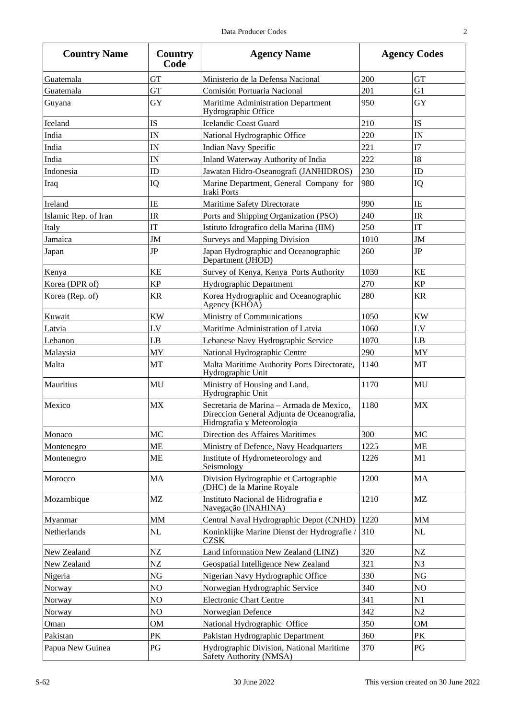| v<br>I |
|--------|
| I<br>I |
|        |
|        |

| <b>Country Name</b>  | Country<br>Code | <b>Agency Name</b>                                                                                                   |      | <b>Agency Codes</b> |
|----------------------|-----------------|----------------------------------------------------------------------------------------------------------------------|------|---------------------|
| Guatemala            | <b>GT</b>       | Ministerio de la Defensa Nacional                                                                                    | 200  | <b>GT</b>           |
| Guatemala            | <b>GT</b>       | Comisión Portuaria Nacional                                                                                          | 201  | G1                  |
| Guyana               | GY              | Maritime Administration Department<br>Hydrographic Office                                                            | 950  | GY                  |
| Iceland              | <b>IS</b>       | <b>Icelandic Coast Guard</b>                                                                                         | 210  | <b>IS</b>           |
| India                | IN              | National Hydrographic Office                                                                                         | 220  | IN                  |
| India                | IN              | <b>Indian Navy Specific</b>                                                                                          | 221  | I7                  |
| India                | IN              | Inland Waterway Authority of India                                                                                   | 222  | <b>I8</b>           |
| Indonesia            | ID              | Jawatan Hidro-Oseanografi (JANHIDROS)                                                                                | 230  | ID                  |
| Iraq                 | IQ              | Marine Department, General Company for<br><b>Iraki Ports</b>                                                         | 980  | IQ                  |
| Ireland              | IE              | Maritime Safety Directorate                                                                                          | 990  | IE                  |
| Islamic Rep. of Iran | IR              | Ports and Shipping Organization (PSO)                                                                                | 240  | <b>IR</b>           |
| Italy                | IT              | Istituto Idrografico della Marina (IIM)                                                                              | 250  | IT                  |
| Jamaica              | JM              | <b>Surveys and Mapping Division</b>                                                                                  | 1010 | JM                  |
| Japan                | <b>JP</b>       | Japan Hydrographic and Oceanographic<br>Department (JHOD)                                                            | 260  | <b>JP</b>           |
| Kenya                | KE              | Survey of Kenya, Kenya Ports Authority                                                                               | 1030 | <b>KE</b>           |
| Korea (DPR of)       | <b>KP</b>       | Hydrographic Department                                                                                              | 270  | <b>KP</b>           |
| Korea (Rep. of)      | <b>KR</b>       | Korea Hydrographic and Oceanographic<br>Agency (KHOA)                                                                | 280  | <b>KR</b>           |
| Kuwait               | <b>KW</b>       | Ministry of Communications                                                                                           | 1050 | <b>KW</b>           |
| Latvia               | LV              | Maritime Administration of Latvia                                                                                    | 1060 | LV                  |
| Lebanon              | LB              | Lebanese Navy Hydrographic Service                                                                                   | 1070 | LB                  |
| Malaysia             | MY              | National Hydrographic Centre                                                                                         | 290  | MY                  |
| Malta                | MT              | Malta Maritime Authority Ports Directorate,<br>Hydrographic Unit                                                     | 1140 | MT                  |
| Mauritius            | MU              | Ministry of Housing and Land,<br>Hydrographic Unit                                                                   | 1170 | MU                  |
| Mexico               | <b>MX</b>       | Secretaria de Marina - Armada de Mexico,<br>Direccion General Adjunta de Oceanografia,<br>Hidrografia y Meteorologia | 1180 | <b>MX</b>           |
| Monaco               | MC              | Direction des Affaires Maritimes                                                                                     | 300  | MC                  |
| Montenegro           | <b>ME</b>       | Ministry of Defence, Navy Headquarters                                                                               | 1225 | <b>ME</b>           |
| Montenegro           | <b>ME</b>       | Institute of Hydrometeorology and<br>Seismology                                                                      | 1226 | M1                  |
| Morocco              | MA              | Division Hydrographie et Cartographie<br>(DHC) de la Marine Royale                                                   | 1200 | MA                  |
| Mozambique           | <b>MZ</b>       | Instituto Nacional de Hidrografia e<br>Navegação (INAHINA)                                                           | 1210 | MZ                  |
| Myanmar              | <b>MM</b>       | Central Naval Hydrographic Depot (CNHD)                                                                              | 1220 | <b>MM</b>           |
| Netherlands          | NL              | Koninklijke Marine Dienst der Hydrografie /<br><b>CZSK</b>                                                           | 310  | NL                  |
| New Zealand          | NZ              | Land Information New Zealand (LINZ)                                                                                  | 320  | NZ                  |
| New Zealand          | NZ              | Geospatial Intelligence New Zealand                                                                                  | 321  | N <sub>3</sub>      |
| Nigeria              | NG              | Nigerian Navy Hydrographic Office                                                                                    | 330  | NG                  |
| Norway               | NO              | Norwegian Hydrographic Service                                                                                       | 340  | NO                  |
| Norway               | NO              | <b>Electronic Chart Centre</b>                                                                                       | 341  | N1                  |
| Norway               | NO              | Norwegian Defence                                                                                                    | 342  | N2                  |
| Oman                 | <b>OM</b>       | National Hydrographic Office                                                                                         | 350  | <b>OM</b>           |
| Pakistan             | PK              | Pakistan Hydrographic Department                                                                                     | 360  | PK                  |
| Papua New Guinea     | PG              | Hydrographic Division, National Maritime<br>Safety Authority (NMSA)                                                  | 370  | PG                  |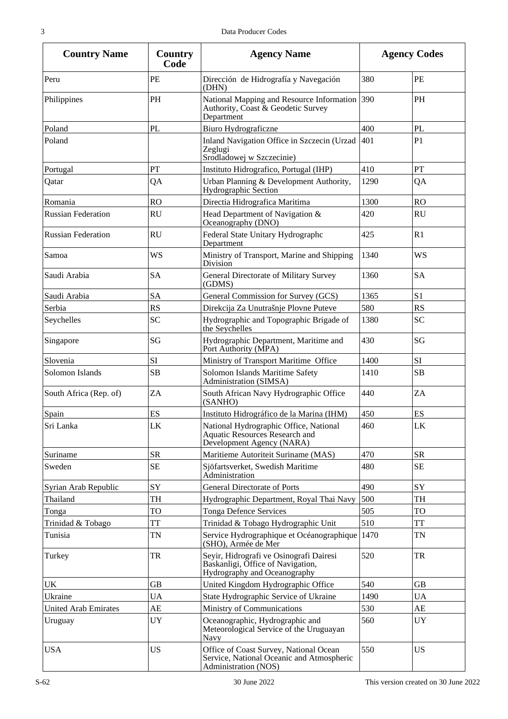| <b>Country Name</b>         | Country<br>Code | <b>Agency Name</b>                                                                                           |      | <b>Agency Codes</b> |
|-----------------------------|-----------------|--------------------------------------------------------------------------------------------------------------|------|---------------------|
| Peru                        | PE              | Dirección de Hidrografía y Navegación<br>(DHN)                                                               | 380  | PE                  |
| Philippines                 | PH              | National Mapping and Resource Information 390<br>Authority, Coast & Geodetic Survey<br>Department            |      | PH                  |
| Poland                      | <b>PL</b>       | Biuro Hydrograficzne                                                                                         | 400  | PL                  |
| Poland                      |                 | Inland Navigation Office in Szczecin (Urzad<br>Zeglugi<br>Srodladowej w Szczecinie)                          | 401  | P1                  |
| Portugal                    | PT              | Instituto Hidrografico, Portugal (IHP)                                                                       | 410  | PT                  |
| Qatar                       | QA              | Urban Planning & Development Authority,<br>Hydrographic Section                                              | 1290 | QA                  |
| Romania                     | <b>RO</b>       | Directia Hidrografica Maritima                                                                               | 1300 | <b>RO</b>           |
| <b>Russian Federation</b>   | <b>RU</b>       | Head Department of Navigation &<br>Oceanography (DNO)                                                        | 420  | <b>RU</b>           |
| <b>Russian Federation</b>   | <b>RU</b>       | Federal State Unitary Hydrographc<br>Department                                                              | 425  | R1                  |
| Samoa                       | WS              | Ministry of Transport, Marine and Shipping<br>Division                                                       | 1340 | <b>WS</b>           |
| Saudi Arabia                | <b>SA</b>       | General Directorate of Military Survey<br>(GDMS)                                                             | 1360 | <b>SA</b>           |
| Saudi Arabia                | <b>SA</b>       | General Commission for Survey (GCS)                                                                          | 1365 | S <sub>1</sub>      |
| Serbia                      | <b>RS</b>       | Direkcija Za Unutrašnje Plovne Puteve                                                                        | 580  | <b>RS</b>           |
| Seychelles                  | <b>SC</b>       | Hydrographic and Topographic Brigade of<br>the Seychelles                                                    | 1380 | <b>SC</b>           |
| Singapore                   | SG              | Hydrographic Department, Maritime and<br>Port Authority (MPA)                                                | 430  | SG                  |
| Slovenia                    | SI              | Ministry of Transport Maritime Office                                                                        | 1400 | SI                  |
| Solomon Islands             | SB              | Solomon Islands Maritime Safety<br>Administration (SIMSA)                                                    | 1410 | SB                  |
| South Africa (Rep. of)      | ZA              | South African Navy Hydrographic Office<br>(SANHO)                                                            | 440  | ZA                  |
| Spain                       | ES              | Instituto Hidrográfico de la Marina (IHM)                                                                    | 450  | ES                  |
| Sri Lanka                   | LK              | National Hydrographic Office, National<br><b>Aquatic Resources Research and</b><br>Development Agency (NARA) | 460  | LK                  |
| Suriname                    | <b>SR</b>       | Maritieme Autoriteit Suriname (MAS)                                                                          | 470  | <b>SR</b>           |
| Sweden                      | <b>SE</b>       | Sjöfartsverket, Swedish Maritime<br>Administration                                                           | 480  | <b>SE</b>           |
| Syrian Arab Republic        | SY              | <b>General Directorate of Ports</b>                                                                          | 490  | SY                  |
| Thailand                    | TH              | Hydrographic Department, Royal Thai Navy                                                                     | 500  | TH                  |
| Tonga                       | TO              | <b>Tonga Defence Services</b>                                                                                | 505  | TO                  |
| Trinidad & Tobago           | TT              | Trinidad & Tobago Hydrographic Unit                                                                          | 510  | TT                  |
| Tunisia                     | <b>TN</b>       | Service Hydrographique et Océanographique<br>(SHO), Armée de Mer                                             | 1470 | TN                  |
| Turkey                      | TR              | Seyir, Hidrografi ve Osinografi Dairesi<br>Baskanligi, Office of Navigation,<br>Hydrography and Oceanography | 520  | <b>TR</b>           |
| UK                          | <b>GB</b>       | United Kingdom Hydrographic Office                                                                           | 540  | <b>GB</b>           |
| Ukraine                     | <b>UA</b>       | State Hydrographic Service of Ukraine                                                                        | 1490 | <b>UA</b>           |
| <b>United Arab Emirates</b> | AE              | Ministry of Communications                                                                                   | 530  | AE                  |
| Uruguay                     | <b>UY</b>       | Oceanographic, Hydrographic and<br>Meteorological Service of the Uruguayan<br>Navy                           | 560  | <b>UY</b>           |
| <b>USA</b>                  | <b>US</b>       | Office of Coast Survey, National Ocean<br>Service, National Oceanic and Atmospheric<br>Administration (NOS)  | 550  | <b>US</b>           |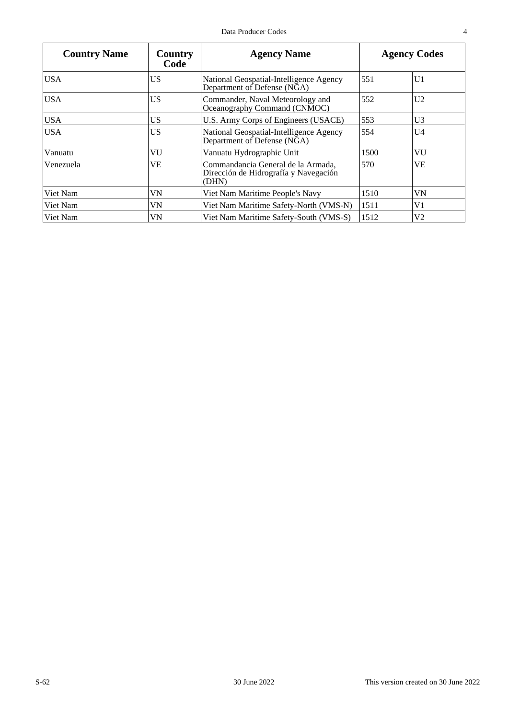| <b>Country Name</b> | Country<br>Code | <b>Agency Name</b>                                                                   |      | <b>Agency Codes</b> |
|---------------------|-----------------|--------------------------------------------------------------------------------------|------|---------------------|
| <b>USA</b>          | US.             | National Geospatial-Intelligence Agency<br>Department of Defense (NGA)               | 551  | U <sub>1</sub>      |
| <b>USA</b>          | US.             | Commander, Naval Meteorology and<br>Oceanography Command (CNMOC)                     | 552  | U <sub>2</sub>      |
| <b>USA</b>          | US              | U.S. Army Corps of Engineers (USACE)                                                 | 553  | U3                  |
| <b>USA</b>          | US.             | National Geospatial-Intelligence Agency<br>Department of Defense (NGA)               | 554  | U4                  |
| Vanuatu             | VU              | Vanuatu Hydrographic Unit                                                            | 1500 | VU                  |
| Venezuela           | VE              | Commandancia General de la Armada.<br>Dirección de Hidrografía y Navegación<br>(DHN) | 570  | VE                  |
| Viet Nam            | VN              | Viet Nam Maritime People's Navy                                                      | 1510 | VN                  |
| Viet Nam            | VN              | Viet Nam Maritime Safety-North (VMS-N)                                               | 1511 | V1                  |
| Viet Nam            | VN              | Viet Nam Maritime Safety-South (VMS-S)                                               | 1512 | V2                  |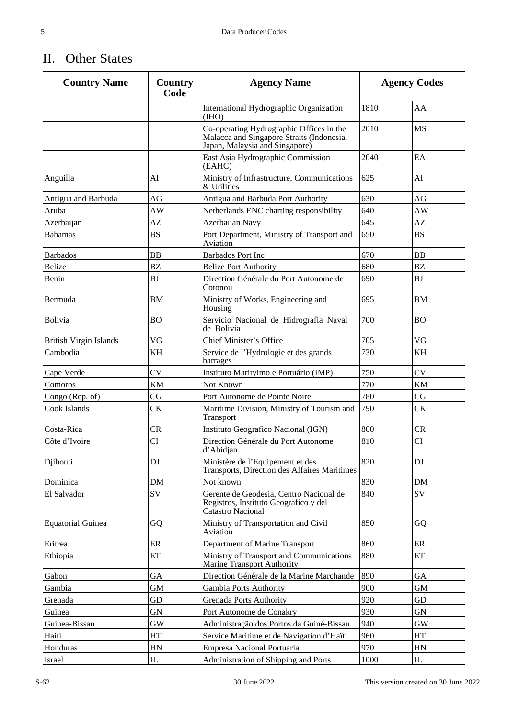#### II. Other States

| <b>Country Name</b>           | Country<br>Code | <b>Agency Name</b>                                                                                                      |      | <b>Agency Codes</b> |
|-------------------------------|-----------------|-------------------------------------------------------------------------------------------------------------------------|------|---------------------|
|                               |                 | International Hydrographic Organization<br>(THO)                                                                        | 1810 | AA                  |
|                               |                 | Co-operating Hydrographic Offices in the<br>Malacca and Singapore Straits (Indonesia,<br>Japan, Malaysia and Singapore) | 2010 | <b>MS</b>           |
|                               |                 | East Asia Hydrographic Commission<br>(EAHC)                                                                             | 2040 | EA                  |
| Anguilla                      | AI              | Ministry of Infrastructure, Communications<br>& Utilities                                                               | 625  | AI                  |
| Antigua and Barbuda           | AG              | Antigua and Barbuda Port Authority                                                                                      | 630  | AG                  |
| Aruba                         | AW              | Netherlands ENC charting responsibility                                                                                 | 640  | AW                  |
| Azerbaijan                    | AZ              | Azerbaijan Navy                                                                                                         | 645  | AZ                  |
| <b>Bahamas</b>                | <b>BS</b>       | Port Department, Ministry of Transport and<br>Aviation                                                                  | 650  | <b>BS</b>           |
| <b>Barbados</b>               | <b>BB</b>       | <b>Barbados Port Inc</b>                                                                                                | 670  | <b>BB</b>           |
| Belize                        | BZ              | <b>Belize Port Authority</b>                                                                                            | 680  | <b>BZ</b>           |
| Benin                         | <b>BJ</b>       | Direction Générale du Port Autonome de<br>Cotonou                                                                       | 690  | <b>BJ</b>           |
| Bermuda                       | <b>BM</b>       | Ministry of Works, Engineering and<br>Housing                                                                           | 695  | <b>BM</b>           |
| Bolivia                       | <b>BO</b>       | Servicio Nacional de Hidrografia Naval<br>de Bolivia                                                                    | 700  | <b>BO</b>           |
| <b>British Virgin Islands</b> | VG              | Chief Minister's Office                                                                                                 | 705  | VG                  |
| Cambodia                      | KH              | Service de l'Hydrologie et des grands<br>barrages                                                                       | 730  | KH                  |
| Cape Verde                    | CV              | Instituto Marityimo e Portuário (IMP)                                                                                   | 750  | <b>CV</b>           |
| Comoros                       | KM              | Not Known                                                                                                               | 770  | <b>KM</b>           |
| Congo (Rep. of)               | CG              | Port Autonome de Pointe Noire                                                                                           | 780  | CG                  |
| Cook Islands                  | <b>CK</b>       | Maritime Division, Ministry of Tourism and<br>Transport                                                                 | 790  | <b>CK</b>           |
| Costa-Rica                    | CR              | Instituto Geografico Nacional (IGN)                                                                                     | 800  | CR                  |
| Côte d'Ivoire                 | CI              | Direction Générale du Port Autonome<br>d'Abidjan                                                                        | 810  | CI                  |
| Djibouti                      | DJ              | Ministère de l'Equipement et des<br><b>Transports, Direction des Affaires Maritimes</b>                                 | 820  | DJ                  |
| Dominica                      | <b>DM</b>       | Not known                                                                                                               | 830  | DM                  |
| El Salvador                   | SV              | Gerente de Geodesia, Centro Nacional de<br>Registros, Instituto Geografico y del<br>Catastro Nacional                   | 840  | SV                  |
| <b>Equatorial Guinea</b>      | GQ              | Ministry of Transportation and Civil<br>Aviation                                                                        | 850  | GQ                  |
| Eritrea                       | ER              | Department of Marine Transport                                                                                          | 860  | ER                  |
| Ethiopia                      | ET              | Ministry of Transport and Communications<br>Marine Transport Authority                                                  | 880  | ET                  |
| Gabon                         | GA              | Direction Générale de la Marine Marchande                                                                               | 890  | GA                  |
| Gambia                        | GM              | Gambia Ports Authority                                                                                                  | 900  | <b>GM</b>           |
| Grenada                       | GD              | <b>Grenada Ports Authority</b>                                                                                          | 920  | GD                  |
| Guinea                        | <b>GN</b>       | Port Autonome de Conakry                                                                                                | 930  | <b>GN</b>           |
| Guinea-Bissau                 | <b>GW</b>       | Administração dos Portos da Guiné-Bissau                                                                                | 940  | <b>GW</b>           |
| Haiti                         | HT              | Service Maritime et de Navigation d'Haïti                                                                               | 960  | HT                  |
| Honduras                      | HN              | Empresa Nacional Portuaria                                                                                              | 970  | HN                  |
| Israel                        | ${\rm IL}$      | Administration of Shipping and Ports                                                                                    | 1000 | $\rm IL$            |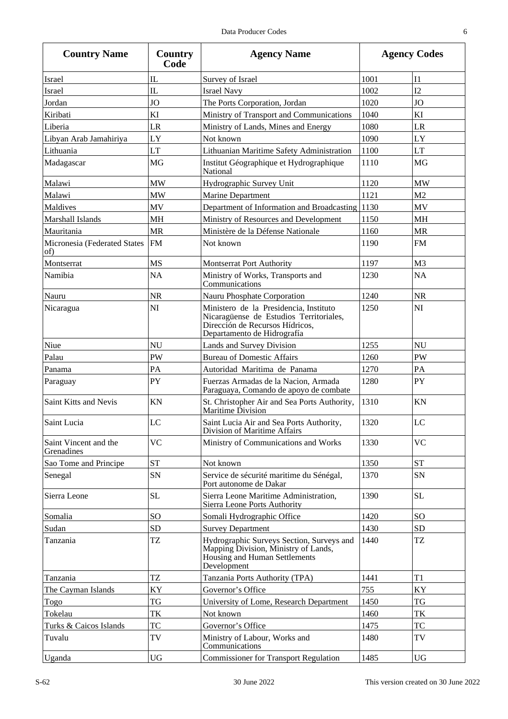| ۰<br>n. | ٠           |
|---------|-------------|
|         |             |
|         |             |
|         |             |
| ć<br>×  | I<br>I<br>٧ |

| <b>Country Name</b>                 | Country<br>Code | <b>Agency Name</b>                                                                                                                                  |      | <b>Agency Codes</b> |
|-------------------------------------|-----------------|-----------------------------------------------------------------------------------------------------------------------------------------------------|------|---------------------|
| <b>Israel</b>                       | IL              | Survey of Israel                                                                                                                                    | 1001 | I <sub>1</sub>      |
| Israel                              | $\mathbf{I}$    | <b>Israel Navy</b>                                                                                                                                  | 1002 | I2                  |
| Jordan                              | <b>JO</b>       | The Ports Corporation, Jordan                                                                                                                       | 1020 | <b>JO</b>           |
| Kiribati                            | KI              | Ministry of Transport and Communications                                                                                                            | 1040 | KI                  |
| Liberia                             | LR              | Ministry of Lands, Mines and Energy                                                                                                                 | 1080 | LR                  |
| Libyan Arab Jamahiriya              | LY              | Not known                                                                                                                                           | 1090 | LY                  |
| Lithuania                           | LT              | Lithuanian Maritime Safety Administration                                                                                                           | 1100 | LT                  |
| Madagascar                          | MG              | Institut Géographique et Hydrographique<br>National                                                                                                 | 1110 | MG                  |
| Malawi                              | <b>MW</b>       | Hydrographic Survey Unit                                                                                                                            | 1120 | <b>MW</b>           |
| Malawi                              | <b>MW</b>       | Marine Department                                                                                                                                   | 1121 | M <sub>2</sub>      |
| Maldives                            | MV              | Department of Information and Broadcasting                                                                                                          | 1130 | MV                  |
| Marshall Islands                    | <b>MH</b>       | Ministry of Resources and Development                                                                                                               | 1150 | <b>MH</b>           |
| Mauritania                          | <b>MR</b>       | Ministère de la Défense Nationale                                                                                                                   | 1160 | <b>MR</b>           |
| Micronesia (Federated States<br>of) | FM              | Not known                                                                                                                                           | 1190 | <b>FM</b>           |
| Montserrat                          | <b>MS</b>       | <b>Montserrat Port Authority</b>                                                                                                                    | 1197 | M <sub>3</sub>      |
| Namibia                             | <b>NA</b>       | Ministry of Works, Transports and<br>Communications                                                                                                 | 1230 | <b>NA</b>           |
| Nauru                               | <b>NR</b>       | Nauru Phosphate Corporation                                                                                                                         | 1240 | <b>NR</b>           |
| Nicaragua                           | NI              | Ministero de la Presidencia, Instituto<br>Nicaragüense de Estudios Territoriales,<br>Dirección de Recursos Hídricos,<br>Departamento de Hidrografía | 1250 | NI                  |
| Niue                                | <b>NU</b>       | Lands and Survey Division                                                                                                                           | 1255 | NU                  |
| Palau                               | PW              | <b>Bureau of Domestic Affairs</b>                                                                                                                   | 1260 | <b>PW</b>           |
| Panama                              | PA              | Autoridad Maritima de Panama                                                                                                                        | 1270 | PA                  |
| Paraguay                            | PY              | Fuerzas Armadas de la Nacion, Armada<br>Paraguaya, Comando de apoyo de combate                                                                      | 1280 | PY                  |
| Saint Kitts and Nevis               | KN              | St. Christopher Air and Sea Ports Authority,<br>Maritime Division                                                                                   | 1310 | KN                  |
| Saint Lucia                         | LC              | Saint Lucia Air and Sea Ports Authority,<br>Division of Maritime Affairs                                                                            | 1320 | LC                  |
| Saint Vincent and the<br>Grenadines | <b>VC</b>       | Ministry of Communications and Works                                                                                                                | 1330 | <b>VC</b>           |
| Sao Tome and Principe               | <b>ST</b>       | Not known                                                                                                                                           | 1350 | ${\cal S}{\cal T}$  |
| Senegal                             | SN              | Service de sécurité maritime du Sénégal,<br>Port autonome de Dakar                                                                                  | 1370 | SN                  |
| Sierra Leone                        | <b>SL</b>       | Sierra Leone Maritime Administration,<br>Sierra Leone Ports Authority                                                                               | 1390 | <b>SL</b>           |
| Somalia                             | <b>SO</b>       | Somali Hydrographic Office                                                                                                                          | 1420 | <b>SO</b>           |
| Sudan                               | <b>SD</b>       | <b>Survey Department</b>                                                                                                                            | 1430 | <b>SD</b>           |
| Tanzania                            | TZ              | Hydrographic Surveys Section, Surveys and<br>Mapping Division, Ministry of Lands,<br>Housing and Human Settlements<br>Development                   | 1440 | TZ                  |
| Tanzania                            | <b>TZ</b>       | Tanzania Ports Authority (TPA)                                                                                                                      | 1441 | T1                  |
| The Cayman Islands                  | KY              | Governor's Office                                                                                                                                   | 755  | KY                  |
| Togo                                | TG              | University of Lome, Research Department                                                                                                             | 1450 | TG                  |
| Tokelau                             | TK              | Not known                                                                                                                                           | 1460 | TK                  |
| Turks & Caicos Islands              | TC              | Governor's Office                                                                                                                                   | 1475 | TC                  |
| Tuvalu                              | TV              | Ministry of Labour, Works and<br>Communications                                                                                                     | 1480 | TV                  |
| Uganda                              | <b>UG</b>       | <b>Commissioner for Transport Regulation</b>                                                                                                        | 1485 | <b>UG</b>           |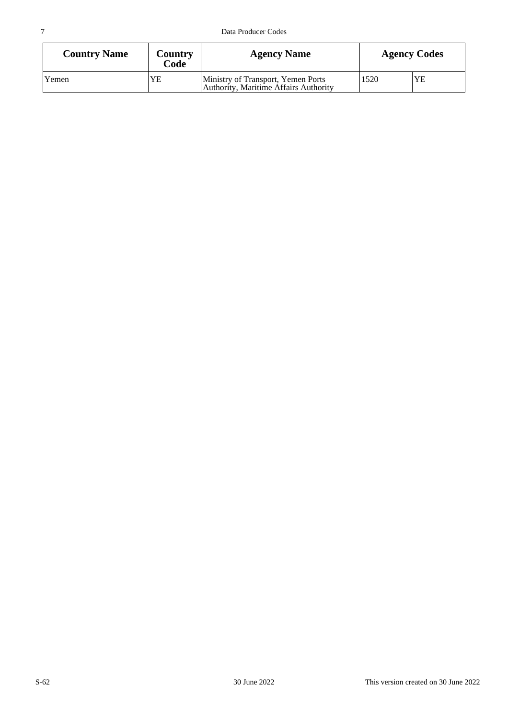| <b>Country Name</b> | Country<br>Code | <b>Agency Name</b>                                                          | <b>Agency Codes</b> |  |
|---------------------|-----------------|-----------------------------------------------------------------------------|---------------------|--|
| Yemen               | YE              | Ministry of Transport, Yemen Ports<br>Authority, Maritime Affairs Authority | 1520                |  |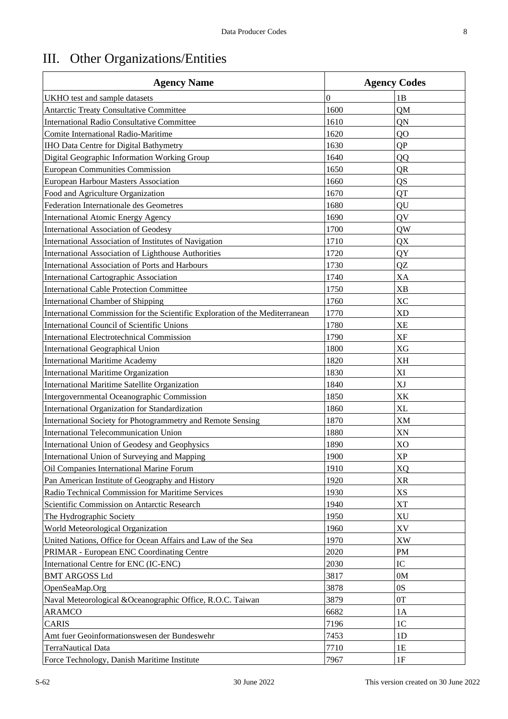### III. Other Organizations/Entities

| <b>Agency Name</b>                                                           | <b>Agency Codes</b> |                |  |
|------------------------------------------------------------------------------|---------------------|----------------|--|
| UKHO test and sample datasets                                                | $\boldsymbol{0}$    | 1B             |  |
| <b>Antarctic Treaty Consultative Committee</b>                               | 1600                | QM             |  |
| <b>International Radio Consultative Committee</b>                            | 1610                | QN             |  |
| <b>Comite International Radio-Maritime</b>                                   | 1620                | Q <sub>O</sub> |  |
| IHO Data Centre for Digital Bathymetry                                       | 1630                | QP             |  |
| Digital Geographic Information Working Group                                 | 1640                | QQ             |  |
| <b>European Communities Commission</b>                                       | 1650                | QR             |  |
| <b>European Harbour Masters Association</b>                                  | 1660                | QS             |  |
| Food and Agriculture Organization                                            | 1670                | QT             |  |
| Federation Internationale des Geometres                                      | 1680                | QU             |  |
| <b>International Atomic Energy Agency</b>                                    | 1690                | QV             |  |
| International Association of Geodesy                                         | 1700                | QW             |  |
| International Association of Institutes of Navigation                        | 1710                | QX             |  |
| International Association of Lighthouse Authorities                          | 1720                | QY             |  |
| International Association of Ports and Harbours                              | 1730                | QZ             |  |
| International Cartographic Association                                       | 1740                | XA             |  |
| <b>International Cable Protection Committee</b>                              | 1750                | <b>XB</b>      |  |
| <b>International Chamber of Shipping</b>                                     | 1760                | <b>XC</b>      |  |
| International Commission for the Scientific Exploration of the Mediterranean | 1770                | <b>XD</b>      |  |
| International Council of Scientific Unions                                   | 1780                | <b>XE</b>      |  |
| <b>International Electrotechnical Commission</b>                             | 1790                | <b>XF</b>      |  |
| <b>International Geographical Union</b>                                      | 1800                | <b>XG</b>      |  |
| <b>International Maritime Academy</b>                                        | 1820                | <b>XH</b>      |  |
| International Maritime Organization                                          | 1830                | XI             |  |
| International Maritime Satellite Organization                                | 1840                | XJ             |  |
| Intergovernmental Oceanographic Commission                                   | 1850                | XK             |  |
| International Organization for Standardization                               | 1860                | XL             |  |
| International Society for Photogrammetry and Remote Sensing                  | 1870                | XM             |  |
| International Telecommunication Union                                        | 1880                | XN             |  |
| International Union of Geodesy and Geophysics                                | 1890                | X <sub>O</sub> |  |
| <b>International Union of Surveying and Mapping</b>                          | 1900                | XP             |  |
| Oil Companies International Marine Forum                                     | 1910                | <b>XQ</b>      |  |
| Pan American Institute of Geography and History                              | 1920                | <b>XR</b>      |  |
| Radio Technical Commission for Maritime Services                             | 1930                | XS             |  |
| Scientific Commission on Antarctic Research                                  | 1940                | <b>XT</b>      |  |
| The Hydrographic Society                                                     | 1950                | XU             |  |
| World Meteorological Organization                                            | 1960                | XV             |  |
| United Nations, Office for Ocean Affairs and Law of the Sea                  | 1970                | XW             |  |
| PRIMAR - European ENC Coordinating Centre                                    | 2020                | PM             |  |
| International Centre for ENC (IC-ENC)                                        | 2030                | IC             |  |
| <b>BMT ARGOSS Ltd</b>                                                        | 3817                | 0M             |  |
| OpenSeaMap.Org                                                               | 3878                | 0S             |  |
| Naval Meteorological &Oceanographic Office, R.O.C. Taiwan                    | 3879                | 0T             |  |
| <b>ARAMCO</b>                                                                | 6682                | 1A             |  |
| <b>CARIS</b>                                                                 | 7196                | 1 <sup>C</sup> |  |
| Amt fuer Geoinformationswesen der Bundeswehr                                 | 7453                | 1D             |  |
| <b>TerraNautical Data</b>                                                    | 7710                | 1E             |  |
| Force Technology, Danish Maritime Institute                                  | 7967                | $1\mathrm{F}$  |  |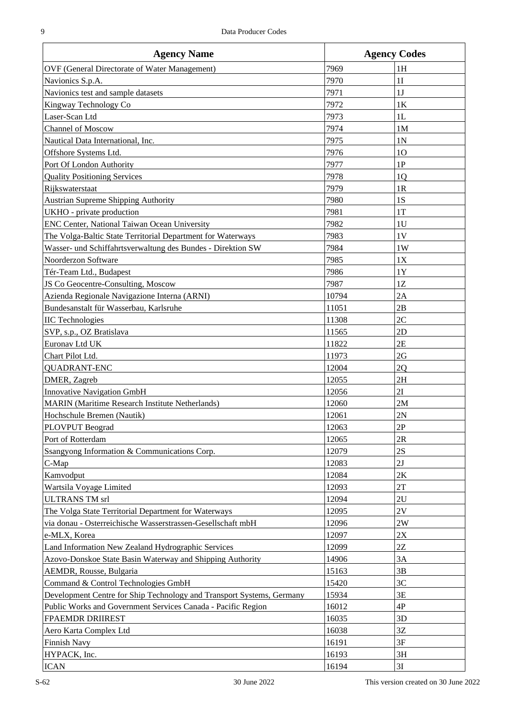| <b>Agency Name</b>                                                    | <b>Agency Codes</b> |                |  |
|-----------------------------------------------------------------------|---------------------|----------------|--|
| <b>OVF</b> (General Directorate of Water Management)                  | 7969                | 1H             |  |
| Navionics S.p.A.                                                      | 7970                | 1I             |  |
| Navionics test and sample datasets                                    | 7971                | 1J             |  |
| Kingway Technology Co                                                 | 7972                | 1K             |  |
| Laser-Scan Ltd                                                        | 7973                | 1L             |  |
| Channel of Moscow                                                     | 7974                | 1M             |  |
| Nautical Data International, Inc.                                     | 7975                | 1 <sub>N</sub> |  |
| Offshore Systems Ltd.                                                 | 7976                | 1 <sub>O</sub> |  |
| Port Of London Authority                                              | 7977                | 1P             |  |
| <b>Quality Positioning Services</b>                                   | 7978                | 1Q             |  |
| Rijkswaterstaat                                                       | 7979                | 1R             |  |
| <b>Austrian Supreme Shipping Authority</b>                            | 7980                | 1S             |  |
| UKHO - private production                                             | 7981                | 1T             |  |
| ENC Center, National Taiwan Ocean University                          | 7982                | 1 <sub>U</sub> |  |
| The Volga-Baltic State Territorial Department for Waterways           | 7983                | 1V             |  |
| Wasser- und Schiffahrtsverwaltung des Bundes - Direktion SW           | 7984                | 1W             |  |
| Noorderzon Software                                                   | 7985                | 1X             |  |
| Tér-Team Ltd., Budapest                                               | 7986                | 1Y             |  |
| JS Co Geocentre-Consulting, Moscow                                    | 7987                | 1Z             |  |
| Azienda Regionale Navigazione Interna (ARNI)                          | 10794               | 2A             |  |
| Bundesanstalt für Wasserbau, Karlsruhe                                | 11051               | 2B             |  |
| <b>IIC</b> Technologies                                               | 11308               | 2C             |  |
|                                                                       |                     | 2D             |  |
| SVP, s.p., OZ Bratislava<br>Euronav Ltd UK                            | 11565<br>11822      | 2E             |  |
| Chart Pilot Ltd.                                                      | 11973               | 2G             |  |
|                                                                       |                     |                |  |
| <b>QUADRANT-ENC</b><br>DMER, Zagreb                                   | 12004               | 2Q<br>2H       |  |
|                                                                       | 12055<br>12056      | 2I             |  |
| Innovative Navigation GmbH                                            |                     |                |  |
| <b>MARIN</b> (Maritime Research Institute Netherlands)                | 12060               | 2M             |  |
| Hochschule Bremen (Nautik)                                            | 12061               | 2N             |  |
| PLOVPUT Beograd                                                       | 12063               | 2P             |  |
| Port of Rotterdam                                                     | 12065               | 2R             |  |
| Ssangyong Information & Communications Corp.                          | 12079               | 2S             |  |
| C-Map                                                                 | 12083               | 2J             |  |
| Kamvodput                                                             | 12084               | $2\mathrm{K}$  |  |
| Wartsila Voyage Limited                                               | 12093               | 2T             |  |
| <b>ULTRANS TM srl</b>                                                 | 12094               | 2U             |  |
| The Volga State Territorial Department for Waterways                  | 12095               | 2V             |  |
| via donau - Osterreichische Wasserstrassen-Gesellschaft mbH           | 12096               | 2W             |  |
| e-MLX, Korea                                                          | 12097               | $2\mathrm{X}$  |  |
| Land Information New Zealand Hydrographic Services                    | 12099               | 2Z             |  |
| Azovo-Donskoe State Basin Waterway and Shipping Authority             | 14906               | 3A             |  |
| AEMDR, Rousse, Bulgaria                                               | 15163               | 3B             |  |
| Command & Control Technologies GmbH                                   | 15420               | 3C             |  |
| Development Centre for Ship Technology and Transport Systems, Germany | 15934               | 3E             |  |
| Public Works and Government Services Canada - Pacific Region          | 16012               | 4P             |  |
| <b>FPAEMDR DRIIREST</b>                                               | 16035               | 3D             |  |
| Aero Karta Complex Ltd                                                | 16038               | $3\mathbf{Z}$  |  |
| Finnish Navy                                                          | 16191               | 3F             |  |
| HYPACK, Inc.                                                          | 16193               | 3H             |  |
| <b>ICAN</b>                                                           | 16194               | 3I             |  |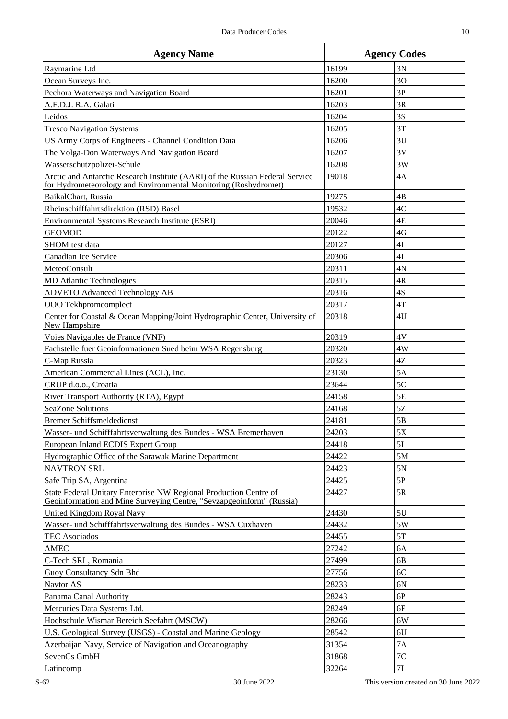| <b>Agency Name</b>                                                                                                                               | <b>Agency Codes</b> |                |
|--------------------------------------------------------------------------------------------------------------------------------------------------|---------------------|----------------|
| Raymarine Ltd                                                                                                                                    | 16199               | 3N             |
| Ocean Surveys Inc.                                                                                                                               | 16200               | 3 <sub>O</sub> |
| Pechora Waterways and Navigation Board                                                                                                           | 16201               | 3P             |
| A.F.D.J. R.A. Galati                                                                                                                             | 16203               | 3R             |
| Leidos                                                                                                                                           | 16204               | 3S             |
| <b>Tresco Navigation Systems</b>                                                                                                                 | 16205               | 3T             |
| US Army Corps of Engineers - Channel Condition Data                                                                                              | 16206               | 3U             |
| The Volga-Don Waterways And Navigation Board                                                                                                     | 16207               | 3V             |
| Wasserschutzpolizei-Schule                                                                                                                       | 16208               | 3W             |
| Arctic and Antarctic Research Institute (AARI) of the Russian Federal Service<br>for Hydrometeorology and Environmental Monitoring (Roshydromet) | 19018               | 4A             |
| BaikalChart, Russia                                                                                                                              | 19275               | 4B             |
| Rheinschifffahrtsdirektion (RSD) Basel                                                                                                           | 19532               | 4C             |
| Environmental Systems Research Institute (ESRI)                                                                                                  | 20046               | 4E             |
| <b>GEOMOD</b>                                                                                                                                    | 20122               | 4G             |
| SHOM test data                                                                                                                                   | 20127               | 4L             |
| Canadian Ice Service                                                                                                                             | 20306               | 4I             |
| MeteoConsult                                                                                                                                     | 20311               | 4N             |
| <b>MD</b> Atlantic Technologies                                                                                                                  | 20315               | 4R             |
| <b>ADVETO Advanced Technology AB</b>                                                                                                             | 20316               | 4S             |
| OOO Tekhpromcomplect                                                                                                                             | 20317               | 4T             |
| Center for Coastal & Ocean Mapping/Joint Hydrographic Center, University of<br>New Hampshire                                                     | 20318               | 4U             |
| Voies Navigables de France (VNF)                                                                                                                 | 20319               | 4V             |
| Fachstelle fuer Geoinformationen Sued beim WSA Regensburg                                                                                        | 20320               | 4W             |
| C-Map Russia                                                                                                                                     | 20323               | 4Z             |
| American Commercial Lines (ACL), Inc.                                                                                                            | 23130               | 5A             |
| CRUP d.o.o., Croatia                                                                                                                             | 23644               | 5C             |
| River Transport Authority (RTA), Egypt                                                                                                           | 24158               | 5E             |
| SeaZone Solutions                                                                                                                                | 24168               | 5Z             |
| <b>Bremer Schiffsmeldedienst</b>                                                                                                                 | 24181               | 5B             |
| Wasser- und Schifffahrtsverwaltung des Bundes - WSA Bremerhaven                                                                                  | 24203               | 5Χ             |
| European Inland ECDIS Expert Group                                                                                                               | 24418               | 5I             |
| Hydrographic Office of the Sarawak Marine Department                                                                                             | 24422               | 5M             |
| <b>NAVTRON SRL</b>                                                                                                                               | 24423               | 5N             |
| Safe Trip SA, Argentina                                                                                                                          | 24425               | 5P             |
| State Federal Unitary Enterprise NW Regional Production Centre of<br>Geoinformation and Mine Surveying Centre, "Sevzapgeoinform" (Russia)        | 24427               | 5R             |
| United Kingdom Royal Navy                                                                                                                        | 24430               | 5U             |
| Wasser- und Schifffahrtsverwaltung des Bundes - WSA Cuxhaven                                                                                     | 24432               | 5W             |
| <b>TEC Asociados</b>                                                                                                                             | 24455               | 5T             |
| <b>AMEC</b>                                                                                                                                      | 27242               | 6A             |
| C-Tech SRL, Romania                                                                                                                              | 27499               | 6B             |
| Guoy Consultancy Sdn Bhd                                                                                                                         | 27756               | 6C             |
| Navtor AS                                                                                                                                        | 28233               | 6N             |
| Panama Canal Authority                                                                                                                           | 28243               | 6P             |
| Mercuries Data Systems Ltd.                                                                                                                      | 28249               | 6F             |
| Hochschule Wismar Bereich Seefahrt (MSCW)                                                                                                        | 28266               | 6W             |
| U.S. Geological Survey (USGS) - Coastal and Marine Geology                                                                                       | 28542               | 6U             |
| Azerbaijan Navy, Service of Navigation and Oceanography                                                                                          | 31354               | 7A             |
| SevenCs GmbH                                                                                                                                     | 31868               | 7 <sup>C</sup> |
| Latincomp                                                                                                                                        | 32264               | 7L             |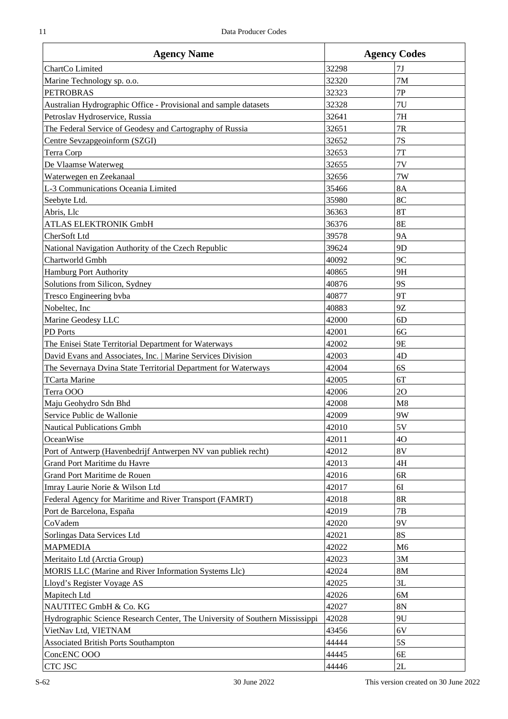| <b>Agency Name</b>                                                           | <b>Agency Codes</b> |                |
|------------------------------------------------------------------------------|---------------------|----------------|
| ChartCo Limited                                                              | 32298               | 7J             |
| Marine Technology sp. o.o.                                                   | 32320               | 7M             |
| <b>PETROBRAS</b>                                                             | 32323               | 7P             |
| Australian Hydrographic Office - Provisional and sample datasets             | 32328               | 7U             |
| Petroslav Hydroservice, Russia                                               | 32641               | 7H             |
| The Federal Service of Geodesy and Cartography of Russia                     | 32651               | 7R             |
| Centre Sevzapgeoinform (SZGI)                                                | 32652               | 7S             |
| Terra Corp                                                                   | 32653               | 7T             |
| De Vlaamse Waterweg                                                          | 32655               | 7V             |
| Waterwegen en Zeekanaal                                                      | 32656               | 7W             |
| L-3 Communications Oceania Limited                                           | 35466               | <b>8A</b>      |
| Seebyte Ltd.                                                                 | 35980               | 8C             |
| Abris, Llc                                                                   | 36363               | 8T             |
| ATLAS ELEKTRONIK GmbH                                                        | 36376               | <b>8E</b>      |
| CherSoft Ltd                                                                 | 39578               | <b>9A</b>      |
| National Navigation Authority of the Czech Republic                          | 39624               | 9 <sub>D</sub> |
| Chartworld Gmbh                                                              | 40092               | 9C             |
| <b>Hamburg Port Authority</b>                                                | 40865               | 9H             |
| Solutions from Silicon, Sydney                                               | 40876               | 9S             |
| Tresco Engineering byba                                                      | 40877               | <b>9T</b>      |
| Nobeltec, Inc                                                                | 40883               | 9Ζ             |
| Marine Geodesy LLC                                                           | 42000               | 6 <sub>D</sub> |
| PD Ports                                                                     | 42001               | 6G             |
| The Enisei State Territorial Department for Waterways                        | 42002               | 9E             |
| David Evans and Associates, Inc.   Marine Services Division                  | 42003               | 4D             |
| The Severnaya Dvina State Territorial Department for Waterways               | 42004               | 6S             |
| <b>TCarta Marine</b>                                                         | 42005               | 6T             |
| Terra OOO                                                                    | 42006               | 2O             |
| Maju Geohydro Sdn Bhd                                                        | 42008               | M8             |
| Service Public de Wallonie                                                   | 42009               | 9W             |
| Nautical Publications Gmbh                                                   | 42010               | 5V             |
| OceanWise                                                                    | 42011               | 40             |
| Port of Antwerp (Havenbedrijf Antwerpen NV van publiek recht)                | 42012               | 8V             |
| Grand Port Maritime du Havre                                                 | 42013               | 4H             |
| Grand Port Maritime de Rouen                                                 | 42016               | 6R             |
| Imray Laurie Norie & Wilson Ltd                                              | 42017               | <b>6I</b>      |
| Federal Agency for Maritime and River Transport (FAMRT)                      | 42018               | <b>8R</b>      |
| Port de Barcelona, España                                                    | 42019               | 7B             |
| CoVadem                                                                      | 42020               | 9V             |
| Sorlingas Data Services Ltd                                                  | 42021               | <b>8S</b>      |
| <b>MAPMEDIA</b>                                                              | 42022               | M <sub>6</sub> |
| Meritaito Ltd (Arctia Group)                                                 | 42023               | 3M             |
| MORIS LLC (Marine and River Information Systems Llc)                         | 42024               | <b>8M</b>      |
| Lloyd's Register Voyage AS                                                   | 42025               | 3L             |
| Mapitech Ltd                                                                 | 42026               | 6M             |
| NAUTITEC GmbH & Co. KG                                                       | 42027               | 8N             |
| Hydrographic Science Research Center, The University of Southern Mississippi | 42028               | 9U             |
| VietNav Ltd, VIETNAM                                                         | 43456               | 6V             |
| Associated British Ports Southampton                                         | 44444               | 5S             |
| ConcENC OOO                                                                  | 44445               | 6E             |
| <b>CTC JSC</b>                                                               | 44446               | 2L             |